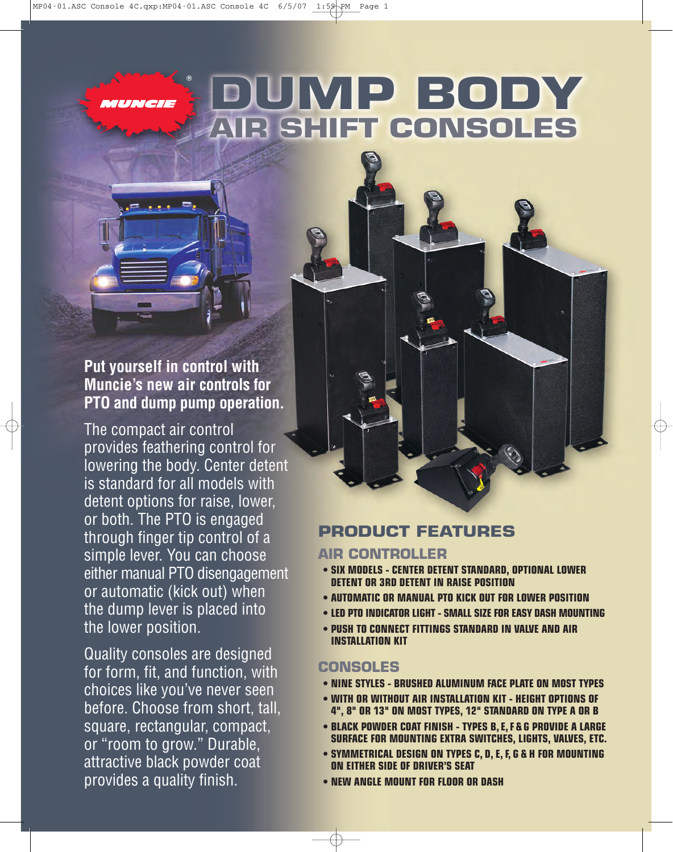MUNCIE

# **DUMP BODY AIR SHIFT CONSOLES**

## **Put yourself in control with Muncie's new air controls for PTO and dump pump operation.**

The compact air control provides feathering control for lowering the body. Center detent is standard for all models with detent options for raise, lower, or both. The PTO is engaged through finger tip control of a simple lever. You can choose either manual PTO disengagement or automatic (kick out) when the dump lever is placed into the lower position.

Quality consoles are designed for form, fit, and function, with choices like you've never seen before. Choose from short, tall, square, rectangular, compact, or "room to grow." Durable, attractive black powder coat provides a quality finish.

### **PRODUCT FEATURES**

#### **AIR CONTROLLER**

- **SIX MODELS CENTER DETENT STANDARD, OPTIONAL LOWER DETENT OR 3RD DETENT IN RAISE POSITION**
- **AUTOMATIC OR MANUAL PTO KICK OUT FOR LOWER POSITION**
- **LED PTO INDICATOR LIGHT SMALL SIZE FOR EASY DASH MOUNTING**
- **PUSH TO CONNECT FITTINGS STANDARD IN VALVE AND AIR INSTALLATION KIT**

#### **CONSOLES**

- **NINE STYLES BRUSHED ALUMINUM FACE PLATE ON MOST TYPES**
- **WITH OR WITHOUT AIR INSTALLATION KIT HEIGHT OPTIONS OF 4", 8" OR 13" ON MOST TYPES, 12" STANDARD ON TYPE A OR B**
- **BLACK POWDER COAT FINISH TYPES B, E,F & G PROVIDE A LARGE SURFACE FOR MOUNTING EXTRA SWITCHES, LIGHTS, VALVES, ETC.**
- **SYMMETRICAL DESIGN ON TYPES C, D, E, F, G & H FOR MOUNTING ON EITHER SIDE OF DRIVER'S SEAT**
- **NEW ANGLE MOUNT FOR FLOOR OR DASH**